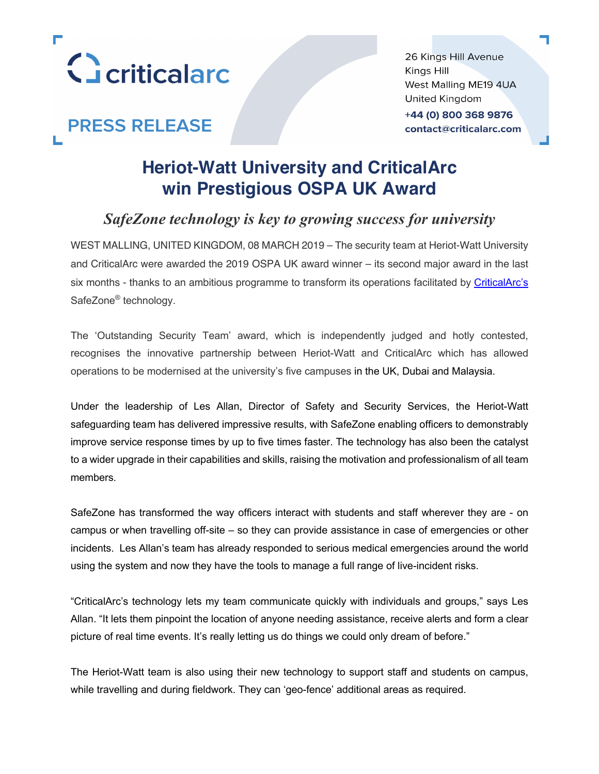

# **PRESS RELEASE**

26 Kings Hill Avenue Kings Hill West Malling ME19 4UA United Kingdom +44 (0) 800 368 9876 contact@criticalarc.com

## **Heriot-Watt University and CriticalArc win Prestigious OSPA UK Award**

### *SafeZone technology is key to growing success for university*

WEST MALLING, UNITED KINGDOM, 08 MARCH 2019 – The security team at Heriot-Watt University and CriticalArc were awarded the 2019 OSPA UK award winner – its second major award in the last six months - thanks to an ambitious programme to transform its operations facilitated by CriticalArc's SafeZone® technology.

The 'Outstanding Security Team' award, which is independently judged and hotly contested, recognises the innovative partnership between Heriot-Watt and CriticalArc which has allowed operations to be modernised at the university's five campuses in the UK, Dubai and Malaysia.

Under the leadership of Les Allan, Director of Safety and Security Services, the Heriot-Watt safeguarding team has delivered impressive results, with SafeZone enabling officers to demonstrably improve service response times by up to five times faster. The technology has also been the catalyst to a wider upgrade in their capabilities and skills, raising the motivation and professionalism of all team members.

SafeZone has transformed the way officers interact with students and staff wherever they are - on campus or when travelling off-site – so they can provide assistance in case of emergencies or other incidents. Les Allan's team has already responded to serious medical emergencies around the world using the system and now they have the tools to manage a full range of live-incident risks.

"CriticalArc's technology lets my team communicate quickly with individuals and groups," says Les Allan. "It lets them pinpoint the location of anyone needing assistance, receive alerts and form a clear picture of real time events. It's really letting us do things we could only dream of before."

The Heriot-Watt team is also using their new technology to support staff and students on campus, while travelling and during fieldwork. They can 'geo-fence' additional areas as required.